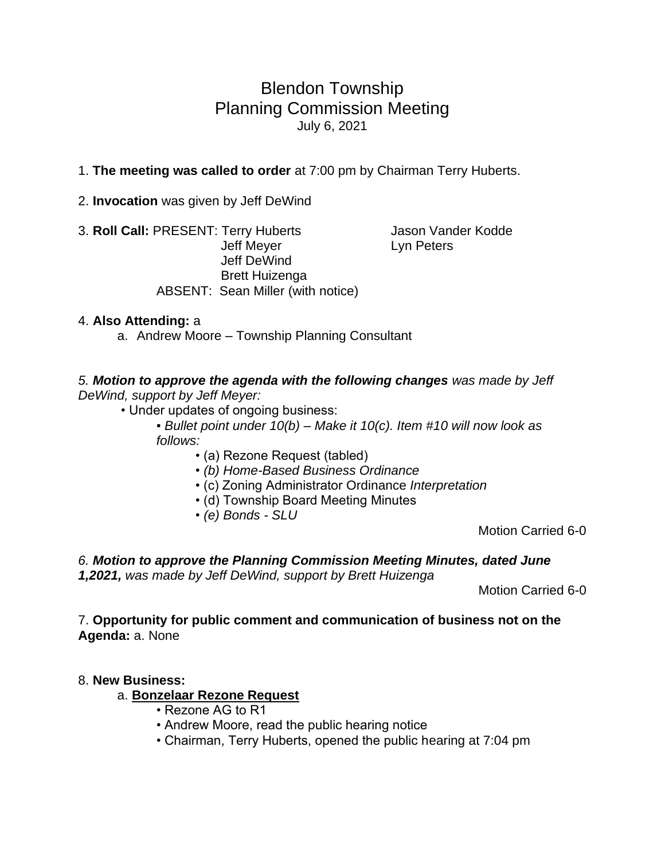# Blendon Township Planning Commission Meeting July 6, 2021

### 1. **The meeting was called to order** at 7:00 pm by Chairman Terry Huberts.

2. **Invocation** was given by Jeff DeWind

3. **Roll Call:** PRESENT: Terry Huberts Jason Vander Kodde Jeff Meyer **Lyn Peters**  Jeff DeWind Brett Huizenga ABSENT: Sean Miller (with notice)

#### 4. **Also Attending:** a

a. Andrew Moore – Township Planning Consultant

*5. Motion to approve the agenda with the following changes was made by Jeff DeWind, support by Jeff Meyer:*

• Under updates of ongoing business:

▪ *Bullet point under 10(b) – Make it 10(c). Item #10 will now look as follows:* 

- (a) Rezone Request (tabled)
- *(b) Home-Based Business Ordinance*
- (c) Zoning Administrator Ordinance *Interpretation*
- (d) Township Board Meeting Minutes
- *(e) Bonds - SLU*

Motion Carried 6-0

#### *6. Motion to approve the Planning Commission Meeting Minutes, dated June 1,2021, was made by Jeff DeWind, support by Brett Huizenga*

Motion Carried 6-0

#### 7. **Opportunity for public comment and communication of business not on the Agenda:** a. None

#### 8. **New Business:**

#### a. **Bonzelaar Rezone Request**

- Rezone AG to R1
- Andrew Moore, read the public hearing notice
- Chairman, Terry Huberts, opened the public hearing at 7:04 pm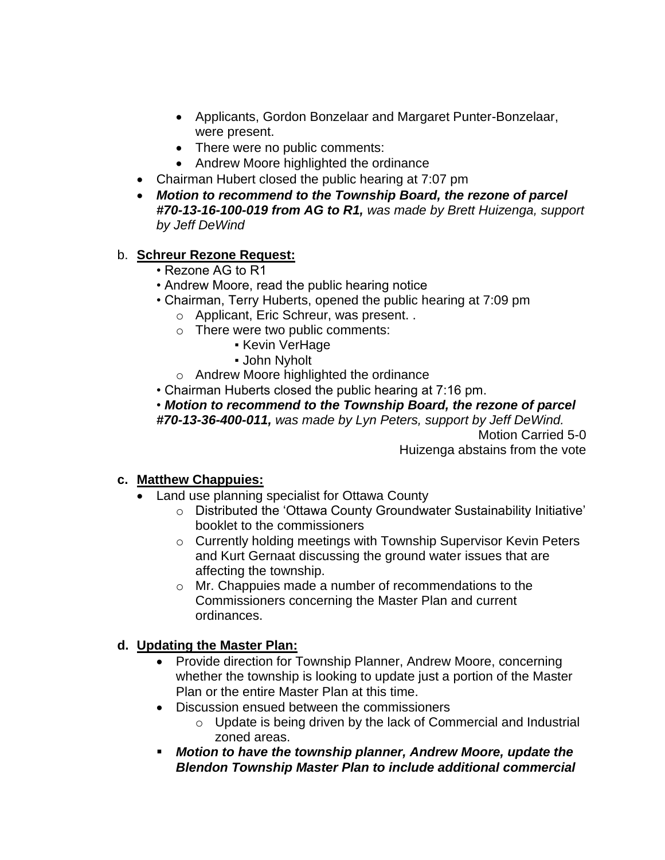- Applicants, Gordon Bonzelaar and Margaret Punter-Bonzelaar, were present.
- There were no public comments:
- Andrew Moore highlighted the ordinance
- Chairman Hubert closed the public hearing at 7:07 pm
- *Motion to recommend to the Township Board, the rezone of parcel #70-13-16-100-019 from AG to R1, was made by Brett Huizenga, support by Jeff DeWind*

## b. **Schreur Rezone Request:**

- Rezone AG to R1
- Andrew Moore, read the public hearing notice
- Chairman, Terry Huberts, opened the public hearing at 7:09 pm
	- o Applicant, Eric Schreur, was present. .
	- o There were two public comments:
		- **Kevin VerHage**
		- John Nyholt
	- o Andrew Moore highlighted the ordinance
- Chairman Huberts closed the public hearing at 7:16 pm.
- *Motion to recommend to the Township Board, the rezone of parcel #70-13-36-400-011, was made by Lyn Peters, support by Jeff DeWind.*

Motion Carried 5-0 Huizenga abstains from the vote

# **c. Matthew Chappuies:**

- Land use planning specialist for Ottawa County
	- o Distributed the 'Ottawa County Groundwater Sustainability Initiative' booklet to the commissioners
	- o Currently holding meetings with Township Supervisor Kevin Peters and Kurt Gernaat discussing the ground water issues that are affecting the township.
	- o Mr. Chappuies made a number of recommendations to the Commissioners concerning the Master Plan and current ordinances.

### **d. Updating the Master Plan:**

- Provide direction for Township Planner, Andrew Moore, concerning whether the township is looking to update just a portion of the Master Plan or the entire Master Plan at this time.
- Discussion ensued between the commissioners
	- o Update is being driven by the lack of Commercial and Industrial zoned areas.
- *Motion to have the township planner, Andrew Moore, update the Blendon Township Master Plan to include additional commercial*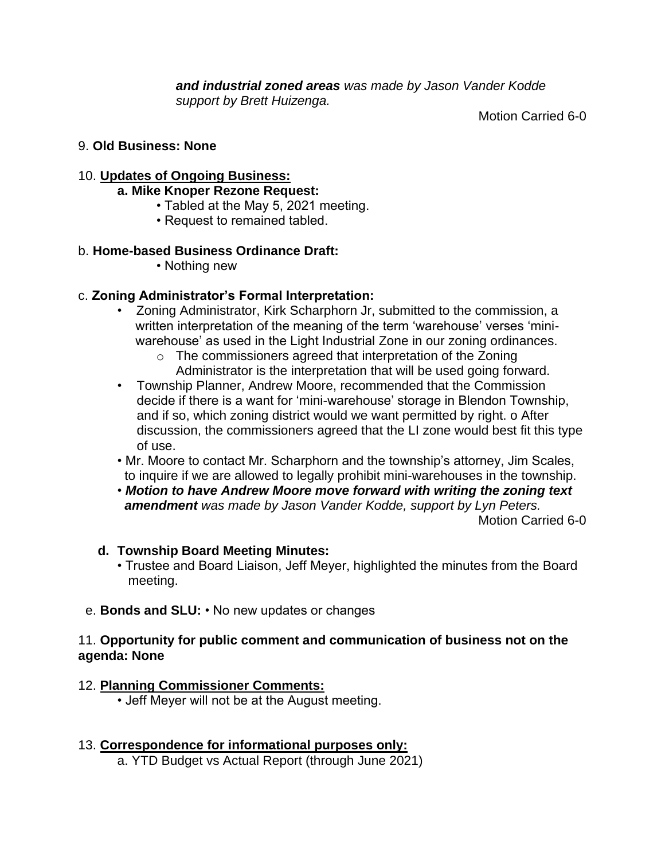*and industrial zoned areas was made by Jason Vander Kodde support by Brett Huizenga.* 

Motion Carried 6-0

### 9. **Old Business: None**

### 10. **Updates of Ongoing Business:**

#### **a. Mike Knoper Rezone Request:**

- Tabled at the May 5, 2021 meeting.
- Request to remained tabled.

#### b. **Home-based Business Ordinance Draft:**

• Nothing new

### c. **Zoning Administrator's Formal Interpretation:**

- Zoning Administrator, Kirk Scharphorn Jr, submitted to the commission, a written interpretation of the meaning of the term 'warehouse' verses 'mini warehouse' as used in the Light Industrial Zone in our zoning ordinances.
	- o The commissioners agreed that interpretation of the Zoning Administrator is the interpretation that will be used going forward.
- Township Planner, Andrew Moore, recommended that the Commission decide if there is a want for 'mini-warehouse' storage in Blendon Township, and if so, which zoning district would we want permitted by right. o After discussion, the commissioners agreed that the LI zone would best fit this type of use.
- Mr. Moore to contact Mr. Scharphorn and the township's attorney, Jim Scales, to inquire if we are allowed to legally prohibit mini-warehouses in the township.
- *Motion to have Andrew Moore move forward with writing the zoning text amendment was made by Jason Vander Kodde, support by Lyn Peters.*

Motion Carried 6-0

### **d. Township Board Meeting Minutes:**

- Trustee and Board Liaison, Jeff Meyer, highlighted the minutes from the Board meeting.
- e. **Bonds and SLU:**  No new updates or changes

#### 11. **Opportunity for public comment and communication of business not on the agenda: None**

#### 12. **Planning Commissioner Comments:**

• Jeff Meyer will not be at the August meeting.

- 13. **Correspondence for informational purposes only:**
	- a. YTD Budget vs Actual Report (through June 2021)